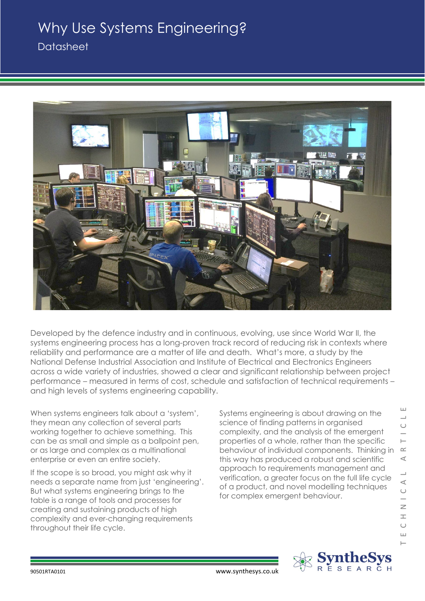## Why Use Systems Engineering?

**Datasheet** 



Developed by the defence industry and in continuous, evolving, use since World War II, the systems engineering process has a long-proven track record of reducing risk in contexts where reliability and performance are a matter of life and death. What's more, a study by the National Defense Industrial Association and Institute of Electrical and Electronics Engineers across a wide variety of industries, showed a clear and significant relationship between project performance – measured in terms of cost, schedule and satisfaction of technical requirements – and high levels of systems engineering capability.

When systems engineers talk about a 'system', they mean any collection of several parts working together to achieve something. This can be as small and simple as a ballpoint pen, or as large and complex as a multinational enterprise or even an entire society.

If the scope is so broad, you might ask why it needs a separate name from just 'engineering'. But what systems engineering brings to the table is a range of tools and processes for creating and sustaining products of high complexity and ever-changing requirements throughout their life cycle.

Systems engineering is about drawing on the science of finding patterns in organised complexity, and the analysis of the emergent properties of a whole, rather than the specific behaviour of individual components. Thinking in this way has produced a robust and scientific approach to requirements management and verification, a greater focus on the full life cycle of a product, and novel modelling techniques for complex emergent behaviour.